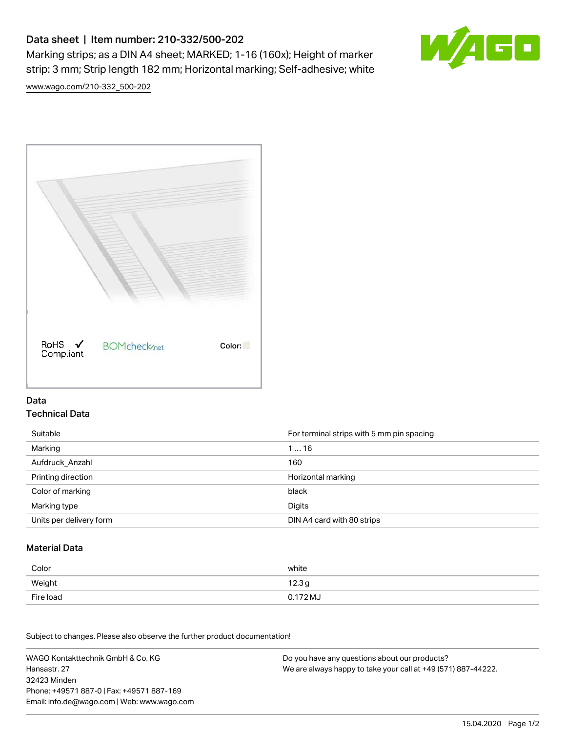# Data sheet | Item number: 210-332/500-202

Marking strips; as a DIN A4 sheet; MARKED; 1-16 (160x); Height of marker strip: 3 mm; Strip length 182 mm; Horizontal marking; Self-adhesive; white



[www.wago.com/210-332\\_500-202](http://www.wago.com/210-332_500-202)



### Data Technical Data

| Suitable                | For terminal strips with 5 mm pin spacing |
|-------------------------|-------------------------------------------|
| Marking                 | 116                                       |
| Aufdruck Anzahl         | 160                                       |
| Printing direction      | Horizontal marking                        |
| Color of marking        | black                                     |
| Marking type            | Digits                                    |
| Units per delivery form | DIN A4 card with 80 strips                |

#### Material Data

| Color     | white                |
|-----------|----------------------|
| Weight    | 12.3g                |
| Fire load | 0.172 M <sub>o</sub> |

Subject to changes. Please also observe the further product documentation!

WAGO Kontakttechnik GmbH & Co. KG Hansastr. 27 32423 Minden Phone: +49571 887-0 | Fax: +49571 887-169 Email: info.de@wago.com | Web: www.wago.com Do you have any questions about our products? We are always happy to take your call at +49 (571) 887-44222.